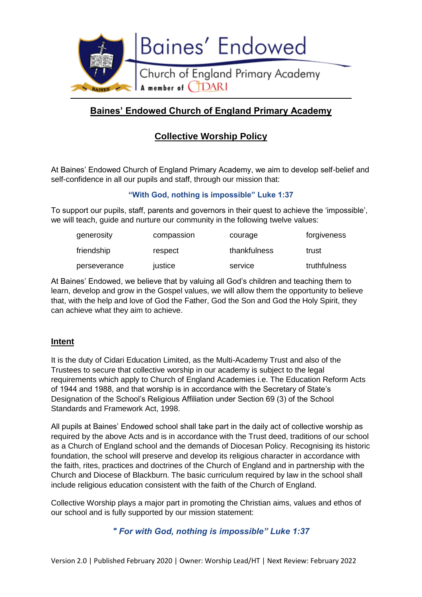

# **Baines' Endowed Church of England Primary Academy**

# **Collective Worship Policy**

At Baines' Endowed Church of England Primary Academy, we aim to develop self-belief and self-confidence in all our pupils and staff, through our mission that:

# **"With God, nothing is impossible" Luke 1:37**

To support our pupils, staff, parents and governors in their quest to achieve the 'impossible', we will teach, guide and nurture our community in the following twelve values:

| generosity   | compassion | courage      | forgiveness  |
|--------------|------------|--------------|--------------|
| friendship   | respect    | thankfulness | trust        |
| perseverance | justice    | service      | truthfulness |

At Baines' Endowed, we believe that by valuing all God's children and teaching them to learn, develop and grow in the Gospel values, we will allow them the opportunity to believe that, with the help and love of God the Father, God the Son and God the Holy Spirit, they can achieve what they aim to achieve.

#### **Intent**

It is the duty of Cidari Education Limited, as the Multi-Academy Trust and also of the Trustees to secure that collective worship in our academy is subject to the legal requirements which apply to Church of England Academies i.e. The Education Reform Acts of 1944 and 1988, and that worship is in accordance with the Secretary of State's Designation of the School's Religious Affiliation under Section 69 (3) of the School Standards and Framework Act, 1998.

All pupils at Baines' Endowed school shall take part in the daily act of collective worship as required by the above Acts and is in accordance with the Trust deed, traditions of our school as a Church of England school and the demands of Diocesan Policy. Recognising its historic foundation, the school will preserve and develop its religious character in accordance with the faith, rites, practices and doctrines of the Church of England and in partnership with the Church and Diocese of Blackburn. The basic curriculum required by law in the school shall include religious education consistent with the faith of the Church of England.

Collective Worship plays a major part in promoting the Christian aims, values and ethos of our school and is fully supported by our mission statement:

# *" For with God, nothing is impossible" Luke 1:37*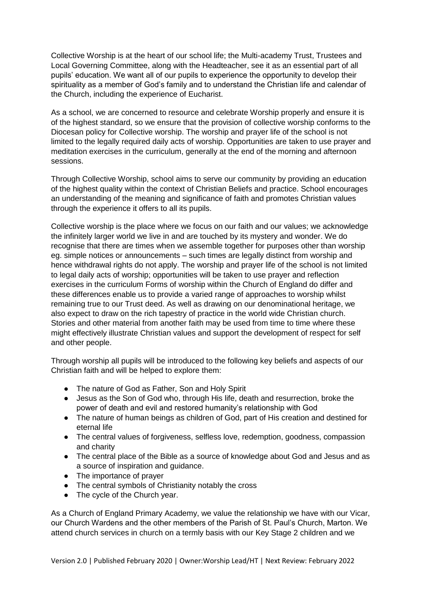Collective Worship is at the heart of our school life; the Multi-academy Trust, Trustees and Local Governing Committee, along with the Headteacher, see it as an essential part of all pupils' education. We want all of our pupils to experience the opportunity to develop their spirituality as a member of God's family and to understand the Christian life and calendar of the Church, including the experience of Eucharist.

As a school, we are concerned to resource and celebrate Worship properly and ensure it is of the highest standard, so we ensure that the provision of collective worship conforms to the Diocesan policy for Collective worship. The worship and prayer life of the school is not limited to the legally required daily acts of worship. Opportunities are taken to use prayer and meditation exercises in the curriculum, generally at the end of the morning and afternoon sessions.

Through Collective Worship, school aims to serve our community by providing an education of the highest quality within the context of Christian Beliefs and practice. School encourages an understanding of the meaning and significance of faith and promotes Christian values through the experience it offers to all its pupils.

Collective worship is the place where we focus on our faith and our values; we acknowledge the infinitely larger world we live in and are touched by its mystery and wonder. We do recognise that there are times when we assemble together for purposes other than worship eg. simple notices or announcements – such times are legally distinct from worship and hence withdrawal rights do not apply. The worship and prayer life of the school is not limited to legal daily acts of worship; opportunities will be taken to use prayer and reflection exercises in the curriculum Forms of worship within the Church of England do differ and these differences enable us to provide a varied range of approaches to worship whilst remaining true to our Trust deed. As well as drawing on our denominational heritage, we also expect to draw on the rich tapestry of practice in the world wide Christian church. Stories and other material from another faith may be used from time to time where these might effectively illustrate Christian values and support the development of respect for self and other people.

Through worship all pupils will be introduced to the following key beliefs and aspects of our Christian faith and will be helped to explore them:

- The nature of God as Father, Son and Holy Spirit
- Jesus as the Son of God who, through His life, death and resurrection, broke the power of death and evil and restored humanity's relationship with God
- The nature of human beings as children of God, part of His creation and destined for eternal life
- The central values of forgiveness, selfless love, redemption, goodness, compassion and charity
- The central place of the Bible as a source of knowledge about God and Jesus and as a source of inspiration and guidance.
- The importance of prayer
- The central symbols of Christianity notably the cross
- The cycle of the Church year.

As a Church of England Primary Academy, we value the relationship we have with our Vicar, our Church Wardens and the other members of the Parish of St. Paul's Church, Marton. We attend church services in church on a termly basis with our Key Stage 2 children and we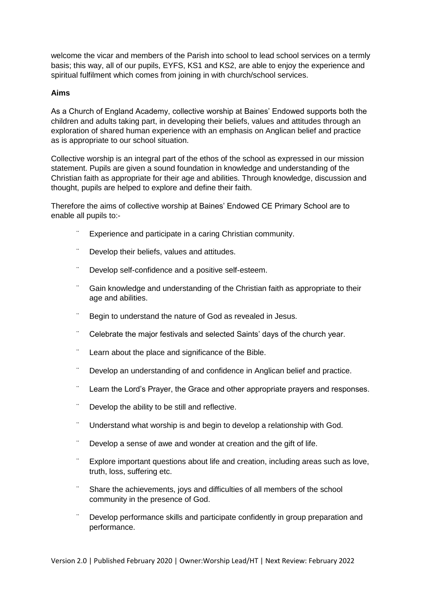welcome the vicar and members of the Parish into school to lead school services on a termly basis; this way, all of our pupils, EYFS, KS1 and KS2, are able to enjoy the experience and spiritual fulfilment which comes from joining in with church/school services.

#### **Aims**

As a Church of England Academy, collective worship at Baines' Endowed supports both the children and adults taking part, in developing their beliefs, values and attitudes through an exploration of shared human experience with an emphasis on Anglican belief and practice as is appropriate to our school situation.

Collective worship is an integral part of the ethos of the school as expressed in our mission statement. Pupils are given a sound foundation in knowledge and understanding of the Christian faith as appropriate for their age and abilities. Through knowledge, discussion and thought, pupils are helped to explore and define their faith.

Therefore the aims of collective worship at Baines' Endowed CE Primary School are to enable all pupils to:-

- Experience and participate in a caring Christian community.
- Develop their beliefs, values and attitudes.
- ¨ Develop self-confidence and a positive self-esteem.
- Gain knowledge and understanding of the Christian faith as appropriate to their age and abilities.
- Begin to understand the nature of God as revealed in Jesus.
- ¨ Celebrate the major festivals and selected Saints' days of the church year.
- Learn about the place and significance of the Bible.
- ¨ Develop an understanding of and confidence in Anglican belief and practice.
- ¨ Learn the Lord's Prayer, the Grace and other appropriate prayers and responses.
- Develop the ability to be still and reflective.
- ¨ Understand what worship is and begin to develop a relationship with God.
- Develop a sense of awe and wonder at creation and the gift of life.
- Explore important questions about life and creation, including areas such as love, truth, loss, suffering etc.
- Share the achievements, joys and difficulties of all members of the school community in the presence of God.
- Develop performance skills and participate confidently in group preparation and performance.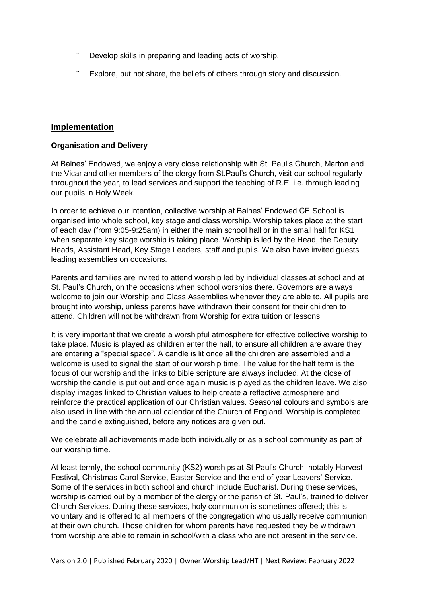- Develop skills in preparing and leading acts of worship.
- Explore, but not share, the beliefs of others through story and discussion.

# **Implementation**

#### **Organisation and Delivery**

At Baines' Endowed, we enjoy a very close relationship with St. Paul's Church, Marton and the Vicar and other members of the clergy from St.Paul's Church, visit our school regularly throughout the year, to lead services and support the teaching of R.E. i.e. through leading our pupils in Holy Week.

In order to achieve our intention, collective worship at Baines' Endowed CE School is organised into whole school, key stage and class worship. Worship takes place at the start of each day (from 9:05-9:25am) in either the main school hall or in the small hall for KS1 when separate key stage worship is taking place. Worship is led by the Head, the Deputy Heads, Assistant Head, Key Stage Leaders, staff and pupils. We also have invited guests leading assemblies on occasions.

Parents and families are invited to attend worship led by individual classes at school and at St. Paul's Church, on the occasions when school worships there. Governors are always welcome to join our Worship and Class Assemblies whenever they are able to. All pupils are brought into worship, unless parents have withdrawn their consent for their children to attend. Children will not be withdrawn from Worship for extra tuition or lessons.

It is very important that we create a worshipful atmosphere for effective collective worship to take place. Music is played as children enter the hall, to ensure all children are aware they are entering a "special space". A candle is lit once all the children are assembled and a welcome is used to signal the start of our worship time. The value for the half term is the focus of our worship and the links to bible scripture are always included. At the close of worship the candle is put out and once again music is played as the children leave. We also display images linked to Christian values to help create a reflective atmosphere and reinforce the practical application of our Christian values. Seasonal colours and symbols are also used in line with the annual calendar of the Church of England. Worship is completed and the candle extinguished, before any notices are given out.

We celebrate all achievements made both individually or as a school community as part of our worship time.

At least termly, the school community (KS2) worships at St Paul's Church; notably Harvest Festival, Christmas Carol Service, Easter Service and the end of year Leavers' Service. Some of the services in both school and church include Eucharist. During these services, worship is carried out by a member of the clergy or the parish of St. Paul's, trained to deliver Church Services. During these services, holy communion is sometimes offered; this is voluntary and is offered to all members of the congregation who usually receive communion at their own church. Those children for whom parents have requested they be withdrawn from worship are able to remain in school/with a class who are not present in the service.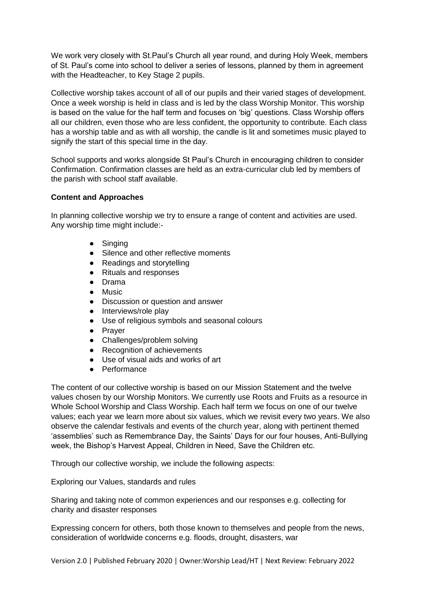We work very closely with St.Paul's Church all year round, and during Holy Week, members of St. Paul's come into school to deliver a series of lessons, planned by them in agreement with the Headteacher, to Key Stage 2 pupils.

Collective worship takes account of all of our pupils and their varied stages of development. Once a week worship is held in class and is led by the class Worship Monitor. This worship is based on the value for the half term and focuses on 'big' questions. Class Worship offers all our children, even those who are less confident, the opportunity to contribute. Each class has a worship table and as with all worship, the candle is lit and sometimes music played to signify the start of this special time in the day.

School supports and works alongside St Paul's Church in encouraging children to consider Confirmation. Confirmation classes are held as an extra-curricular club led by members of the parish with school staff available.

# **Content and Approaches**

In planning collective worship we try to ensure a range of content and activities are used. Any worship time might include:-

- Singing
- Silence and other reflective moments
- Readings and storytelling
- Rituals and responses
- Drama
- Music
- Discussion or question and answer
- Interviews/role play
- Use of religious symbols and seasonal colours
- Prayer
- Challenges/problem solving
- Recognition of achievements
- Use of visual aids and works of art
- Performance

The content of our collective worship is based on our Mission Statement and the twelve values chosen by our Worship Monitors. We currently use Roots and Fruits as a resource in Whole School Worship and Class Worship. Each half term we focus on one of our twelve values; each year we learn more about six values, which we revisit every two years. We also observe the calendar festivals and events of the church year, along with pertinent themed 'assemblies' such as Remembrance Day, the Saints' Days for our four houses, Anti-Bullying week, the Bishop's Harvest Appeal, Children in Need, Save the Children etc.

Through our collective worship, we include the following aspects:

Exploring our Values, standards and rules

Sharing and taking note of common experiences and our responses e.g. collecting for charity and disaster responses

Expressing concern for others, both those known to themselves and people from the news, consideration of worldwide concerns e.g. floods, drought, disasters, war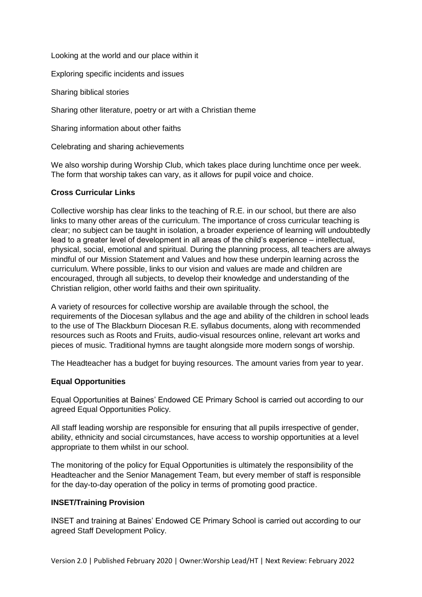Looking at the world and our place within it

Exploring specific incidents and issues

Sharing biblical stories

Sharing other literature, poetry or art with a Christian theme

Sharing information about other faiths

Celebrating and sharing achievements

We also worship during Worship Club, which takes place during lunchtime once per week. The form that worship takes can vary, as it allows for pupil voice and choice.

#### **Cross Curricular Links**

Collective worship has clear links to the teaching of R.E. in our school, but there are also links to many other areas of the curriculum. The importance of cross curricular teaching is clear; no subject can be taught in isolation, a broader experience of learning will undoubtedly lead to a greater level of development in all areas of the child's experience – intellectual, physical, social, emotional and spiritual. During the planning process, all teachers are always mindful of our Mission Statement and Values and how these underpin learning across the curriculum. Where possible, links to our vision and values are made and children are encouraged, through all subjects, to develop their knowledge and understanding of the Christian religion, other world faiths and their own spirituality.

A variety of resources for collective worship are available through the school, the requirements of the Diocesan syllabus and the age and ability of the children in school leads to the use of The Blackburn Diocesan R.E. syllabus documents, along with recommended resources such as Roots and Fruits, audio-visual resources online, relevant art works and pieces of music. Traditional hymns are taught alongside more modern songs of worship.

The Headteacher has a budget for buying resources. The amount varies from year to year.

#### **Equal Opportunities**

Equal Opportunities at Baines' Endowed CE Primary School is carried out according to our agreed Equal Opportunities Policy.

All staff leading worship are responsible for ensuring that all pupils irrespective of gender, ability, ethnicity and social circumstances, have access to worship opportunities at a level appropriate to them whilst in our school.

The monitoring of the policy for Equal Opportunities is ultimately the responsibility of the Headteacher and the Senior Management Team, but every member of staff is responsible for the day-to-day operation of the policy in terms of promoting good practice.

#### **INSET/Training Provision**

INSET and training at Baines' Endowed CE Primary School is carried out according to our agreed Staff Development Policy.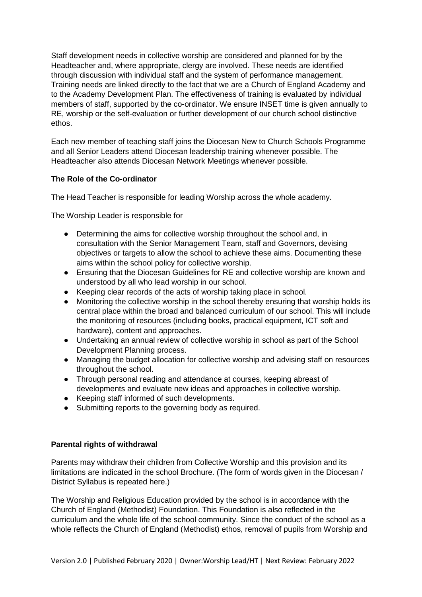Staff development needs in collective worship are considered and planned for by the Headteacher and, where appropriate, clergy are involved. These needs are identified through discussion with individual staff and the system of performance management. Training needs are linked directly to the fact that we are a Church of England Academy and to the Academy Development Plan. The effectiveness of training is evaluated by individual members of staff, supported by the co-ordinator. We ensure INSET time is given annually to RE, worship or the self-evaluation or further development of our church school distinctive ethos.

Each new member of teaching staff joins the Diocesan New to Church Schools Programme and all Senior Leaders attend Diocesan leadership training whenever possible. The Headteacher also attends Diocesan Network Meetings whenever possible.

# **The Role of the Co-ordinator**

The Head Teacher is responsible for leading Worship across the whole academy.

The Worship Leader is responsible for

- Determining the aims for collective worship throughout the school and, in consultation with the Senior Management Team, staff and Governors, devising objectives or targets to allow the school to achieve these aims. Documenting these aims within the school policy for collective worship.
- Ensuring that the Diocesan Guidelines for RE and collective worship are known and understood by all who lead worship in our school.
- Keeping clear records of the acts of worship taking place in school.
- Monitoring the collective worship in the school thereby ensuring that worship holds its central place within the broad and balanced curriculum of our school. This will include the monitoring of resources (including books, practical equipment, ICT soft and hardware), content and approaches.
- Undertaking an annual review of collective worship in school as part of the School Development Planning process.
- Managing the budget allocation for collective worship and advising staff on resources throughout the school.
- Through personal reading and attendance at courses, keeping abreast of developments and evaluate new ideas and approaches in collective worship.
- Keeping staff informed of such developments.
- Submitting reports to the governing body as required.

#### **Parental rights of withdrawal**

Parents may withdraw their children from Collective Worship and this provision and its limitations are indicated in the school Brochure. (The form of words given in the Diocesan / District Syllabus is repeated here.)

The Worship and Religious Education provided by the school is in accordance with the Church of England (Methodist) Foundation. This Foundation is also reflected in the curriculum and the whole life of the school community. Since the conduct of the school as a whole reflects the Church of England (Methodist) ethos, removal of pupils from Worship and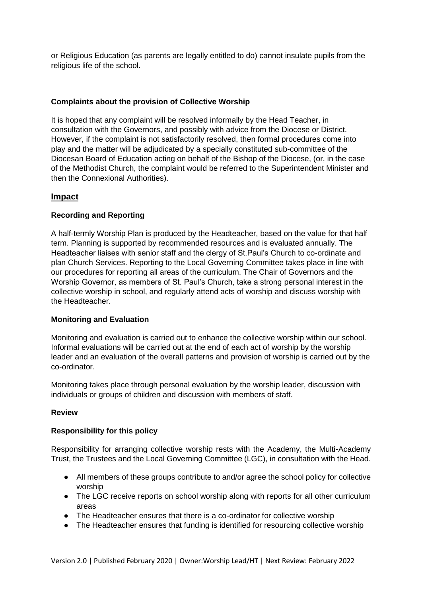or Religious Education (as parents are legally entitled to do) cannot insulate pupils from the religious life of the school.

# **Complaints about the provision of Collective Worship**

It is hoped that any complaint will be resolved informally by the Head Teacher, in consultation with the Governors, and possibly with advice from the Diocese or District. However, if the complaint is not satisfactorily resolved, then formal procedures come into play and the matter will be adjudicated by a specially constituted sub-committee of the Diocesan Board of Education acting on behalf of the Bishop of the Diocese, (or, in the case of the Methodist Church, the complaint would be referred to the Superintendent Minister and then the Connexional Authorities).

# **Impact**

# **Recording and Reporting**

A half-termly Worship Plan is produced by the Headteacher, based on the value for that half term. Planning is supported by recommended resources and is evaluated annually. The Headteacher liaises with senior staff and the clergy of St.Paul's Church to co-ordinate and plan Church Services. Reporting to the Local Governing Committee takes place in line with our procedures for reporting all areas of the curriculum. The Chair of Governors and the Worship Governor, as members of St. Paul's Church, take a strong personal interest in the collective worship in school, and regularly attend acts of worship and discuss worship with the Headteacher.

#### **Monitoring and Evaluation**

Monitoring and evaluation is carried out to enhance the collective worship within our school. Informal evaluations will be carried out at the end of each act of worship by the worship leader and an evaluation of the overall patterns and provision of worship is carried out by the co-ordinator.

Monitoring takes place through personal evaluation by the worship leader, discussion with individuals or groups of children and discussion with members of staff.

#### **Review**

#### **Responsibility for this policy**

Responsibility for arranging collective worship rests with the Academy, the Multi-Academy Trust, the Trustees and the Local Governing Committee (LGC), in consultation with the Head.

- All members of these groups contribute to and/or agree the school policy for collective worship
- The LGC receive reports on school worship along with reports for all other curriculum areas
- The Headteacher ensures that there is a co-ordinator for collective worship
- The Headteacher ensures that funding is identified for resourcing collective worship